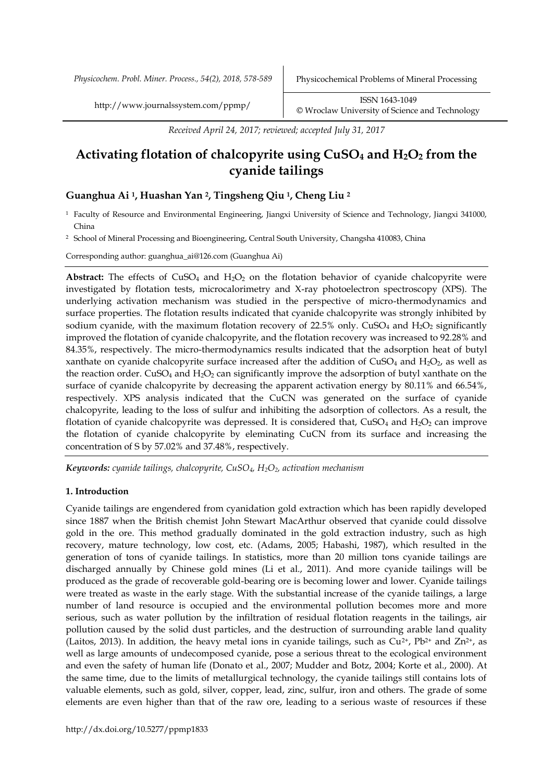*Physicochem. Probl. Miner. Process., 54(2), 2018, 578-589* Physicochemical Problems of Mineral Processing

http://www.journalssystem.com/ppmp/ ISSN 1643-1049 [©](http://www.minproc.pwr.wroc.pl/journal/) Wroclaw University of Science and Technology

*Received April 24, 2017; reviewed; accepted July 31, 2017*

# **Activating flotation of chalcopyrite using CuSO<sup>4</sup> and H2O<sup>2</sup> from the cyanide tailings**

# **Guanghua Ai 1, Huashan Yan 2, Tingsheng Qiu 1, Cheng Liu <sup>2</sup>**

<sup>1</sup> Faculty of Resource and Environmental Engineering, Jiangxi University of Science and Technology, Jiangxi 341000, China

<sup>2</sup> School of Mineral Processing and Bioengineering, Central South University, Changsha 410083, China

Corresponding author: guanghua\_ai@126.com (Guanghua Ai)

**Abstract:** The effects of  $CuSO<sub>4</sub>$  and  $H<sub>2</sub>O<sub>2</sub>$  on the flotation behavior of cyanide chalcopyrite were investigated by flotation tests, microcalorimetry and X-ray photoelectron spectroscopy (XPS). The underlying activation mechanism was studied in the perspective of micro-thermodynamics and surface properties. The flotation results indicated that cyanide chalcopyrite was strongly inhibited by sodium cyanide, with the maximum flotation recovery of  $22.5\%$  only. CuSO<sub>4</sub> and H<sub>2</sub>O<sub>2</sub> significantly improved the flotation of cyanide chalcopyrite, and the flotation recovery was increased to 92.28% and 84.35%, respectively. The micro-thermodynamics results indicated that the adsorption heat of butyl xanthate on cyanide chalcopyrite surface increased after the addition of  $CuSO<sub>4</sub>$  and  $H<sub>2</sub>O<sub>2</sub>$ , as well as the reaction order. CuSO<sub>4</sub> and  $H_2O_2$  can significantly improve the adsorption of butyl xanthate on the surface of cyanide chalcopyrite by decreasing the apparent activation energy by 80.11% and 66.54%, respectively. XPS analysis indicated that the CuCN was generated on the surface of cyanide chalcopyrite, leading to the loss of sulfur and inhibiting the adsorption of collectors. As a result, the flotation of cyanide chalcopyrite was depressed. It is considered that,  $CuSO<sub>4</sub>$  and  $H<sub>2</sub>O<sub>2</sub>$  can improve the flotation of cyanide chalcopyrite by eleminating CuCN from its surface and increasing the concentration of S by 57.02% and 37.48%, respectively.

*Keywords: cyanide tailings, chalcopyrite, CuSO4, H2O2, activation mechanism*

# **1. Introduction**

Cyanide tailings are engendered from cyanidation gold extraction which has been rapidly developed since 1887 when the British chemist John Stewart MacArthur observed that cyanide could dissolve gold in the ore. This method gradually dominated in the gold extraction industry, such as high recovery, mature technology, low cost, etc. (Adams, 2005; Habashi, 1987), which resulted in the generation of tons of cyanide tailings. In statistics, more than 20 million tons cyanide tailings are discharged annually by Chinese gold mines (Li et al., 2011). And more cyanide tailings will be produced as the grade of recoverable gold-bearing ore is becoming lower and lower. Cyanide tailings were treated as waste in the early stage. With the substantial increase of the cyanide tailings, a large number of land resource is occupied and the environmental pollution becomes more and more serious, such as water pollution by the infiltration of residual flotation reagents in the tailings, air pollution caused by the solid dust particles, and the destruction of surrounding arable land quality (Laitos, 2013). In addition, the heavy metal ions in cyanide tailings, such as  $Cu^{2+}$ , Pb<sup>2+</sup> and  $Zn^{2+}$ , as well as large amounts of undecomposed cyanide, pose a serious threat to the ecological environment and even the safety of human life (Donato et al., 2007; Mudder and Botz, 2004; Korte et al., 2000). At the same time, due to the limits of metallurgical technology, the cyanide tailings still contains lots of valuable elements, such as gold, silver, copper, lead, zinc, sulfur, iron and others. The grade of some elements are even higher than that of the raw ore, leading to a serious waste of resources if these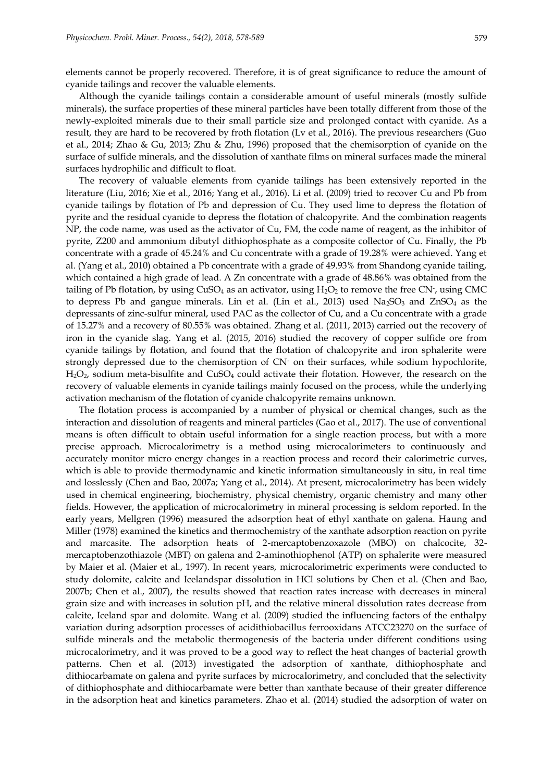elements cannot be properly recovered. Therefore, it is of great significance to reduce the amount of cyanide tailings and recover the valuable elements.

Although the cyanide tailings contain a considerable amount of useful minerals (mostly sulfide minerals), the surface properties of these mineral particles have been totally different from those of the newly-exploited minerals due to their small particle size and prolonged contact with cyanide. As a result, they are hard to be recovered by froth flotation (Lv et al., 2016). The previous researchers (Guo et al., 2014; Zhao & Gu, 2013; Zhu & Zhu, 1996) proposed that the chemisorption of cyanide on the surface of sulfide minerals, and the dissolution of xanthate films on mineral surfaces made the mineral surfaces hydrophilic and difficult to float.

The recovery of valuable elements from cyanide tailings has been extensively reported in the literature (Liu, 2016; Xie et al., 2016; Yang et al., 2016). Li et al. (2009) tried to recover Cu and Pb from cyanide tailings by flotation of Pb and depression of Cu. They used lime to depress the flotation of pyrite and the residual cyanide to depress the flotation of chalcopyrite. And the combination reagents NP, the code name, was used as the activator of Cu, FM, the code name of reagent, as the inhibitor of pyrite, Z200 and ammonium dibutyl dithiophosphate as a composite collector of Cu. Finally, the Pb concentrate with a grade of 45.24% and Cu concentrate with a grade of 19.28% were achieved. Yang et al. (Yang et al., 2010) obtained a Pb concentrate with a grade of 49.93% from Shandong cyanide tailing, which contained a high grade of lead. A Zn concentrate with a grade of 48.86% was obtained from the tailing of Pb flotation, by using CuSO<sub>4</sub> as an activator, using  $\rm H_2O_2$  to remove the free CN-, using CMC to depress Pb and gangue minerals. Lin et al. (Lin et al., 2013) used  $Na<sub>2</sub>SO<sub>3</sub>$  and  $ZnSO<sub>4</sub>$  as the depressants of zinc-sulfur mineral, used PAC as the collector of Cu, and a Cu concentrate with a grade of 15.27% and a recovery of 80.55% was obtained. Zhang et al. (2011, 2013) carried out the recovery of iron in the cyanide slag. Yang et al. (2015, 2016) studied the recovery of copper sulfide ore from cyanide tailings by flotation, and found that the flotation of chalcopyrite and iron sphalerite were strongly depressed due to the chemisorption of CN- on their surfaces, while sodium hypochlorite,  $H_2O_2$ , sodium meta-bisulfite and  $CuSO_4$  could activate their flotation. However, the research on the recovery of valuable elements in cyanide tailings mainly focused on the process, while the underlying activation mechanism of the flotation of cyanide chalcopyrite remains unknown.

The flotation process is accompanied by a number of physical or chemical changes, such as the interaction and dissolution of reagents and mineral particles (Gao et al., 2017). The use of conventional means is often difficult to obtain useful information for a single reaction process, but with a more precise approach. Microcalorimetry is a method using microcalorimeters to continuously and accurately monitor micro energy changes in a reaction process and record their calorimetric curves, which is able to provide thermodynamic and kinetic information simultaneously in situ, in real time and losslessly (Chen and Bao, 2007a; Yang et al., 2014). At present, microcalorimetry has been widely used in chemical engineering, biochemistry, physical chemistry, organic chemistry and many other fields. However, the application of microcalorimetry in mineral processing is seldom reported. In the early years, Mellgren (1996) measured the adsorption heat of ethyl xanthate on galena. Haung and Miller (1978) examined the kinetics and thermochemistry of the xanthate adsorption reaction on pyrite and marcasite. The adsorption heats of 2-mercaptobenzoxazole (MBO) on chalcocite, 32 mercaptobenzothiazole (MBT) on galena and 2-aminothiophenol (ATP) on sphalerite were measured by Maier et al. (Maier et al., 1997). In recent years, microcalorimetric experiments were conducted to study dolomite, calcite and Icelandspar dissolution in HCl solutions by Chen et al. (Chen and Bao, 2007b; Chen et al., 2007), the results showed that reaction rates increase with decreases in mineral grain size and with increases in solution pH, and the relative mineral dissolution rates decrease from calcite, Iceland spar and dolomite. Wang et al. (2009) studied the influencing factors of the enthalpy variation during adsorption processes of acidithiobacillus ferrooxidans ATCC23270 on the surface of sulfide minerals and the metabolic thermogenesis of the bacteria under different conditions using microcalorimetry, and it was proved to be a good way to reflect the heat changes of bacterial growth patterns. Chen et al. (2013) investigated the adsorption of xanthate, dithiophosphate and dithiocarbamate on galena and pyrite surfaces by microcalorimetry, and concluded that the selectivity of dithiophosphate and dithiocarbamate were better than xanthate because of their greater difference in the adsorption heat and kinetics parameters. Zhao et al. (2014) studied the adsorption of water on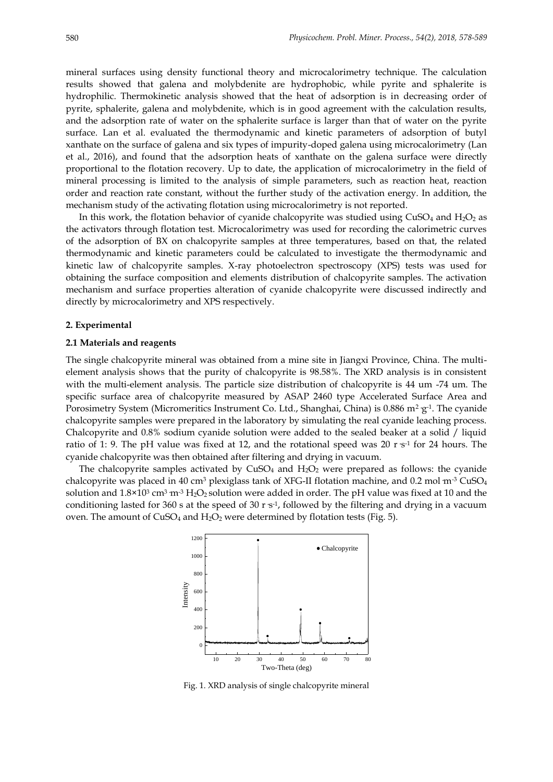mineral surfaces using density functional theory and microcalorimetry technique. The calculation results showed that galena and molybdenite are hydrophobic, while pyrite and sphalerite is hydrophilic. Thermokinetic analysis showed that the heat of adsorption is in decreasing order of pyrite, sphalerite, galena and molybdenite, which is in good agreement with the calculation results, and the adsorption rate of water on the sphalerite surface is larger than that of water on the pyrite surface. Lan et al. evaluated the thermodynamic and kinetic parameters of adsorption of butyl xanthate on the surface of galena and six types of impurity-doped galena using microcalorimetry (Lan et al., 2016), and found that the adsorption heats of xanthate on the galena surface were directly proportional to the flotation recovery. Up to date, the application of microcalorimetry in the field of mineral processing is limited to the analysis of simple parameters, such as reaction heat, reaction order and reaction rate constant, without the further study of the activation energy. In addition, the mechanism study of the activating flotation using microcalorimetry is not reported.

In this work, the flotation behavior of cyanide chalcopyrite was studied using  $CuSO<sub>4</sub>$  and  $H<sub>2</sub>O<sub>2</sub>$  as the activators through flotation test. Microcalorimetry was used for recording the calorimetric curves of the adsorption of BX on chalcopyrite samples at three temperatures, based on that, the related thermodynamic and kinetic parameters could be calculated to investigate the thermodynamic and kinetic law of chalcopyrite samples. X-ray photoelectron spectroscopy (XPS) tests was used for obtaining the surface composition and elements distribution of chalcopyrite samples. The activation mechanism and surface properties alteration of cyanide chalcopyrite were discussed indirectly and directly by microcalorimetry and XPS respectively.

#### **2. Experimental**

#### **2.1 Materials and reagents**

The single chalcopyrite mineral was obtained from a mine site in Jiangxi Province, China. The multielement analysis shows that the purity of chalcopyrite is 98.58%. The XRD analysis is in consistent with the multi-element analysis. The particle size distribution of chalcopyrite is 44 um -74 um. The specific surface area of chalcopyrite measured by ASAP 2460 type Accelerated Surface Area and Porosimetry System (Micromeritics Instrument Co. Ltd., Shanghai, China) is 0.886 m²  $g$ -1. The cyanide chalcopyrite samples were prepared in the laboratory by simulating the real cyanide leaching process. Chalcopyrite and 0.8% sodium cyanide solution were added to the sealed beaker at a solid / liquid ratio of 1: 9. The pH value was fixed at 12, and the rotational speed was 20 r  $s<sup>-1</sup>$  for 24 hours. The cyanide chalcopyrite was then obtained after filtering and drying in vacuum.

The chalcopyrite samples activated by  $CuSO<sub>4</sub>$  and  $H<sub>2</sub>O<sub>2</sub>$  were prepared as follows: the cyanide chalcopyrite was placed in 40 cm<sup>3</sup> plexiglass tank of XFG-II flotation machine, and 0.2 mol m<sup>-3</sup> CuSO<sub>4</sub> solution and  $1.8\times10^3$  cm $^3$  m $^3$  H2O2 solution were added in order. The pH value was fixed at 10 and the conditioning lasted for 360 s at the speed of 30 r s<sup>-1</sup>, followed by the filtering and drying in a vacuum oven. The amount of  $CuSO_4$  and  $H_2O_2$  were determined by flotation tests (Fig. 5).



Fig. 1. XRD analysis of single chalcopyrite mineral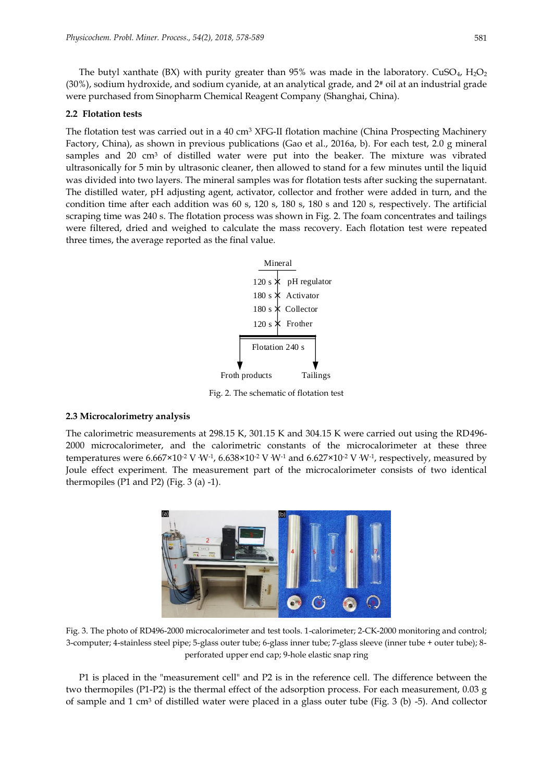The butyl xanthate (BX) with purity greater than 95% was made in the laboratory. CuSO<sub>4</sub>, H<sub>2</sub>O<sub>2</sub> (30%), sodium hydroxide, and sodium cyanide, at an analytical grade, and 2# oil at an industrial grade were purchased from Sinopharm Chemical Reagent Company (Shanghai, China).

# **2.2 Flotation tests**

The flotation test was carried out in a 40 cm<sup>3</sup> XFG-II flotation machine (China Prospecting Machinery Factory, China), as shown in previous publications (Gao et al., 2016a, b). For each test, 2.0 g mineral samples and 20 cm<sup>3</sup> of distilled water were put into the beaker. The mixture was vibrated ultrasonically for 5 min by ultrasonic cleaner, then allowed to stand for a few minutes until the liquid was divided into two layers. The mineral samples was for flotation tests after sucking the supernatant. The distilled water, pH adjusting agent, activator, collector and frother were added in turn, and the condition time after each addition was 60 s, 120 s, 180 s, 180 s and 120 s, respectively. The artificial scraping time was 240 s. The flotation process was shown in Fig. 2. The foam concentrates and tailings were filtered, dried and weighed to calculate the mass recovery. Each flotation test were repeated three times, the average reported as the final value.



Fig. 2. The schematic of flotation test

# **2.3 Microcalorimetry analysis**

The calorimetric measurements at 298.15 K, 301.15 K and 304.15 K were carried out using the RD496- 2000 microcalorimeter, and the calorimetric constants of the microcalorimeter at these three temperatures were 6.667×10<sup>-2</sup> V <sup>.W-1</sup>, 6.638×10<sup>-2</sup> V <sup>.W-1</sup> and 6.627×10<sup>-2</sup> V <sup>.W-1</sup>, respectively, measured by Joule effect experiment. The measurement part of the microcalorimeter consists of two identical thermopiles (P1 and P2) (Fig. 3 (a) -1).



Fig. 3. The photo of RD496-2000 microcalorimeter and test tools. 1-calorimeter; 2-CK-2000 monitoring and control; 3-computer; 4-stainless steel pipe; 5-glass outer tube; 6-glass inner tube; 7-glass sleeve (inner tube + outer tube); 8 perforated upper end cap; 9-hole elastic snap ring

P1 is placed in the "measurement cell" and P2 is in the reference cell. The difference between the two thermopiles (P1-P2) is the thermal effect of the adsorption process. For each measurement, 0.03 g of sample and  $1 \text{ cm}^3$  of distilled water were placed in a glass outer tube (Fig. 3 (b) -5). And collector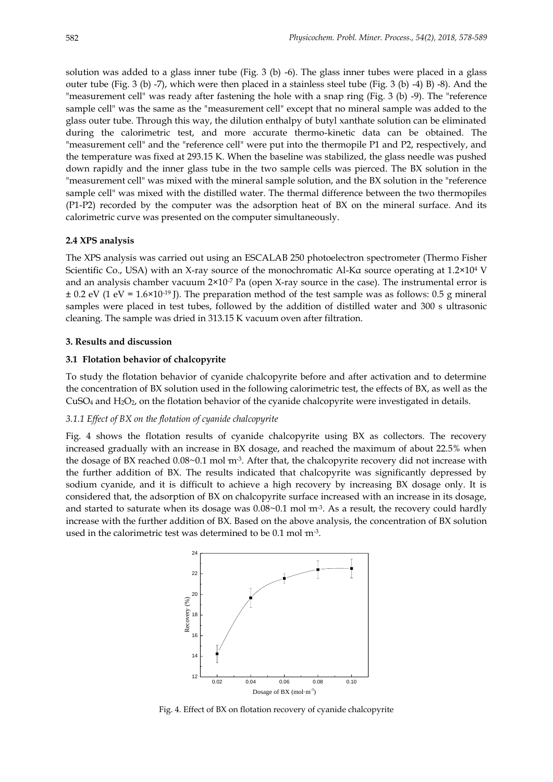solution was added to a glass inner tube (Fig. 3 (b) -6). The glass inner tubes were placed in a glass outer tube (Fig. 3 (b) -7), which were then placed in a stainless steel tube (Fig. 3 (b) -4) B) -8). And the "measurement cell" was ready after fastening the hole with a snap ring (Fig. 3 (b) -9). The "reference sample cell" was the same as the "measurement cell" except that no mineral sample was added to the glass outer tube. Through this way, the dilution enthalpy of butyl xanthate solution can be eliminated during the calorimetric test, and more accurate thermo-kinetic data can be obtained. The "measurement cell" and the "reference cell" were put into the thermopile P1 and P2, respectively, and the temperature was fixed at 293.15 K. When the baseline was stabilized, the glass needle was pushed down rapidly and the inner glass tube in the two sample cells was pierced. The BX solution in the "measurement cell" was mixed with the mineral sample solution, and the BX solution in the "reference sample cell" was mixed with the distilled water. The thermal difference between the two thermopiles (P1-P2) recorded by the computer was the adsorption heat of BX on the mineral surface. And its calorimetric curve was presented on the computer simultaneously.

# **2.4 XPS analysis**

The XPS analysis was carried out using an ESCALAB 250 photoelectron spectrometer (Thermo Fisher Scientific Co., USA) with an X-ray source of the monochromatic Al-Kα source operating at 1.2×10<sup>4</sup> V and an analysis chamber vacuum  $2\times10^{-7}$  Pa (open X-ray source in the case). The instrumental error is  $\pm$  0.2 eV (1 eV = 1.6×10<sup>-19</sup> J). The preparation method of the test sample was as follows: 0.5 g mineral samples were placed in test tubes, followed by the addition of distilled water and 300 s ultrasonic cleaning. The sample was dried in 313.15 K vacuum oven after filtration.

# **3. Results and discussion**

# **3.1 Flotation behavior of chalcopyrite**

To study the flotation behavior of cyanide chalcopyrite before and after activation and to determine the concentration of BX solution used in the following calorimetric test, the effects of BX, as well as the CuSO<sup>4</sup> and H2O2, on the flotation behavior of the cyanide chalcopyrite were investigated in details.

# *3.1.1 Effect of BX on the flotation of cyanide chalcopyrite*

Fig. 4 shows the flotation results of cyanide chalcopyrite using BX as collectors. The recovery increased gradually with an increase in BX dosage, and reached the maximum of about 22.5% when the dosage of BX reached 0.08~0.1 mol m<sup>.3</sup>. After that, the chalcopyrite recovery did not increase with the further addition of BX. The results indicated that chalcopyrite was significantly depressed by sodium cyanide, and it is difficult to achieve a high recovery by increasing BX dosage only. It is considered that, the adsorption of BX on chalcopyrite surface increased with an increase in its dosage, and started to saturate when its dosage was  $0.08\text{~}0.1\ \mathrm{mol}\ \mathrm{m}^3$ . As a result, the recovery could hardly increase with the further addition of BX. Based on the above analysis, the concentration of BX solution used in the calorimetric test was determined to be  $0.1$  mol m-3.



Fig. 4. Effect of BX on flotation recovery of cyanide chalcopyrite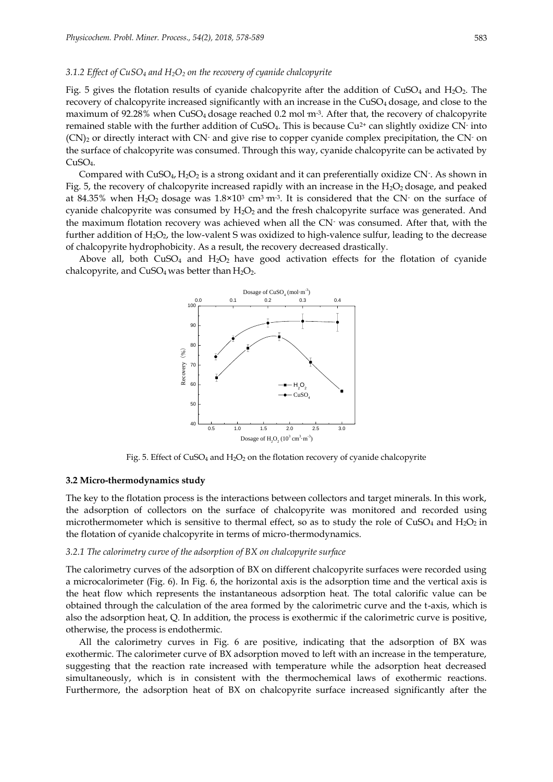#### *3.1.2 Effect of CuSO<sup>4</sup> and H2O<sup>2</sup> on the recovery of cyanide chalcopyrite*

Fig. 5 gives the flotation results of cyanide chalcopyrite after the addition of  $CuSO<sub>4</sub>$  and  $H<sub>2</sub>O<sub>2</sub>$ . The recovery of chalcopyrite increased significantly with an increase in the CuSO<sub>4</sub> dosage, and close to the maximum of 92.28% when CuSO4 dosage reached 0.2 mol·m-3 . After that, the recovery of chalcopyrite remained stable with the further addition of CuSO<sub>4</sub>. This is because Cu<sup>2+</sup> can slightly oxidize CN<sup>-</sup> into  $(CN)_2$  or directly interact with CN- and give rise to copper cyanide complex precipitation, the CN- on the surface of chalcopyrite was consumed. Through this way, cyanide chalcopyrite can be activated by  $CuSO<sub>4</sub>$ .

Compared with CuSO<sub>4</sub>, H<sub>2</sub>O<sub>2</sub> is a strong oxidant and it can preferentially oxidize CN<sup>-</sup>. As shown in Fig. 5, the recovery of chalcopyrite increased rapidly with an increase in the H<sub>2</sub>O<sub>2</sub> dosage, and peaked at 84.35% when  $\rm H_2O_2$  dosage was  $1.8\times10^3$  cm<sup>3</sup> m<sup>3</sup>. It is considered that the CN<sup>-</sup> on the surface of cyanide chalcopyrite was consumed by  $H_2O_2$  and the fresh chalcopyrite surface was generated. And the maximum flotation recovery was achieved when all the CN- was consumed. After that, with the further addition of  $H_2O_2$ , the low-valent S was oxidized to high-valence sulfur, leading to the decrease of chalcopyrite hydrophobicity. As a result, the recovery decreased drastically.

Above all, both  $CuSO_4$  and  $H_2O_2$  have good activation effects for the flotation of cyanide chalcopyrite, and  $CuSO<sub>4</sub>$  was better than  $H<sub>2</sub>O<sub>2</sub>$ .



Fig. 5. Effect of  $CuSO_4$  and  $H_2O_2$  on the flotation recovery of cyanide chalcopyrite

#### **3.2 Micro-thermodynamics study**

The key to the flotation process is the interactions between collectors and target minerals. In this work, the adsorption of collectors on the surface of chalcopyrite was monitored and recorded using microthermometer which is sensitive to thermal effect, so as to study the role of  $CuSO<sub>4</sub>$  and  $H<sub>2</sub>O<sub>2</sub>$  in the flotation of cyanide chalcopyrite in terms of micro-thermodynamics.

### *3.2.1 The calorimetry curve of the adsorption of BX on chalcopyrite surface*

The calorimetry curves of the adsorption of BX on different chalcopyrite surfaces were recorded using a microcalorimeter (Fig. 6). In Fig. 6, the horizontal axis is the adsorption time and the vertical axis is the heat flow which represents the instantaneous adsorption heat. The total calorific value can be obtained through the calculation of the area formed by the calorimetric curve and the t-axis, which is also the adsorption heat, Q. In addition, the process is exothermic if the calorimetric curve is positive, otherwise, the process is endothermic.

All the calorimetry curves in Fig. 6 are positive, indicating that the adsorption of BX was exothermic. The calorimeter curve of BX adsorption moved to left with an increase in the temperature, suggesting that the reaction rate increased with temperature while the adsorption heat decreased simultaneously, which is in consistent with the thermochemical laws of exothermic reactions. Furthermore, the adsorption heat of BX on chalcopyrite surface increased significantly after the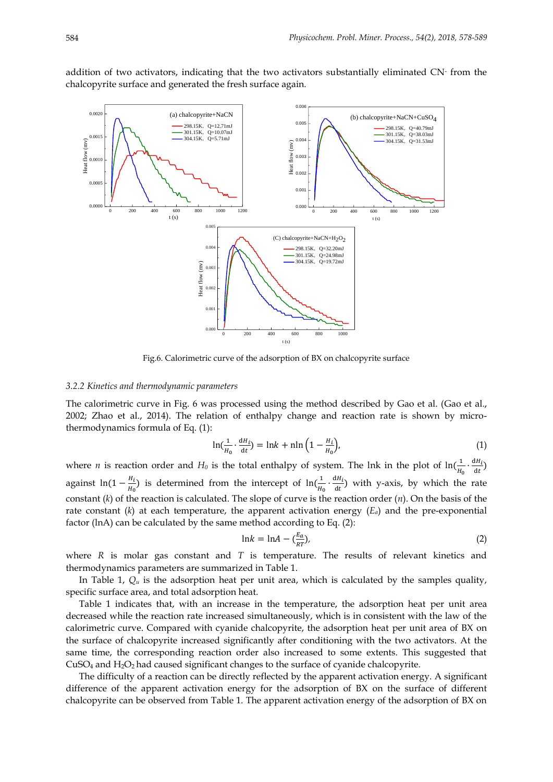addition of two activators, indicating that the two activators substantially eliminated CN-from the chalcopyrite surface and generated the fresh surface again.



Fig.6. Calorimetric curve of the adsorption of BX on chalcopyrite surface

#### *3.2.2 Kinetics and thermodynamic parameters*

The calorimetric curve in Fig. 6 was processed using the method described by Gao et al. (Gao et al., 2002; Zhao et al., 2014). The relation of enthalpy change and reaction rate is shown by microthermodynamics formula of Eq. (1):

$$
\ln\left(\frac{1}{H_0}\cdot\frac{dH_i}{dt}\right) = \ln k + \ln\left(1 - \frac{H_i}{H_0}\right),\tag{1}
$$

where *n* is reaction order and  $H_0$  is the total enthalpy of system. The lnk in the plot of  $\ln(\frac{1}{\mu})$  $\frac{1}{H_0} \cdot \frac{dH_i}{dt}$  $\frac{dH_l}{dt}$ against ln(1 –  $\frac{H_i}{H_i}$  $\frac{H_i}{H_0}$ ) is determined from the intercept of  $\ln(\frac{1}{H_0})$  $\frac{1}{H_0} \cdot \frac{dH_i}{dt}$  $\frac{dH_l}{dt}$ ) with y-axis, by which the rate constant (*k*) of the reaction is calculated. The slope of curve is the reaction order (*n*). On the basis of the rate constant (*k*) at each temperature, the apparent activation energy (*Ea*) and the pre-exponential factor (lnA) can be calculated by the same method according to Eq. (2):

$$
\ln k = \ln A - \left(\frac{E_a}{RT}\right),\tag{2}
$$

where *R* is molar gas constant and *T* is temperature. The results of relevant kinetics and thermodynamics parameters are summarized in Table 1.

In Table 1,  $Q_u$  is the adsorption heat per unit area, which is calculated by the samples quality, specific surface area, and total adsorption heat.

Table 1 indicates that, with an increase in the temperature, the adsorption heat per unit area decreased while the reaction rate increased simultaneously, which is in consistent with the law of the calorimetric curve. Compared with cyanide chalcopyrite, the adsorption heat per unit area of BX on the surface of chalcopyrite increased significantly after conditioning with the two activators. At the same time, the corresponding reaction order also increased to some extents. This suggested that CuSO<sup>4</sup> and H2O2 had caused significant changes to the surface of cyanide chalcopyrite.

The difficulty of a reaction can be directly reflected by the apparent activation energy. A significant difference of the apparent activation energy for the adsorption of BX on the surface of different chalcopyrite can be observed from Table 1. The apparent activation energy of the adsorption of BX on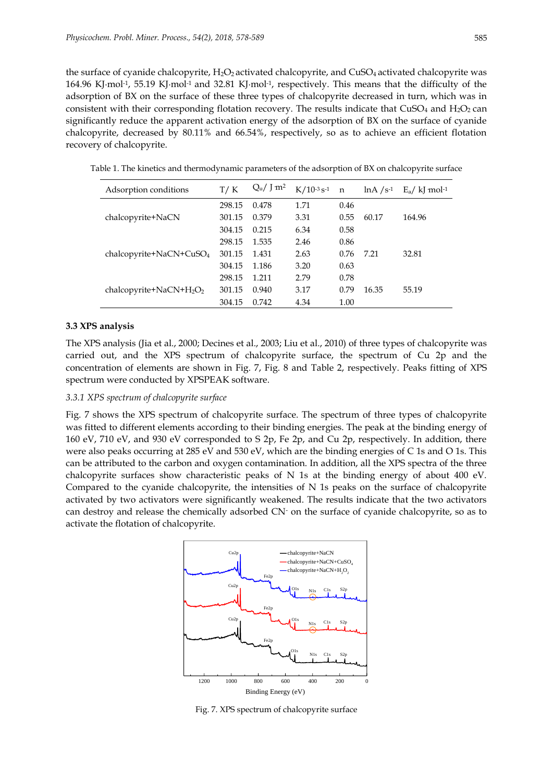the surface of cyanide chalcopyrite,  $H_2O_2$  activated chalcopyrite, and CuSO<sub>4</sub> activated chalcopyrite was 164.96 KJ∙mol-1 , 55.19 KJ∙mol-1 and 32.81 KJ∙mol-1 , respectively. This means that the difficulty of the adsorption of BX on the surface of these three types of chalcopyrite decreased in turn, which was in consistent with their corresponding flotation recovery. The results indicate that  $CuSO<sub>4</sub>$  and  $H<sub>2</sub>O<sub>2</sub>$  can significantly reduce the apparent activation energy of the adsorption of BX on the surface of cyanide chalcopyrite, decreased by 80.11% and 66.54%, respectively, so as to achieve an efficient flotation recovery of chalcopyrite.

| Adsorption conditions       | T/K    | $Q_u / J m^2$ | $K/10^{-3}$ s <sup>-1</sup> | $\mathbf n$ | $lnA / s^{-1}$ | $E_a / k$ mol <sup>-1</sup> |
|-----------------------------|--------|---------------|-----------------------------|-------------|----------------|-----------------------------|
| chalcopyrite+NaCN           | 298.15 | 0.478         | 1.71                        | 0.46        |                |                             |
|                             | 301.15 | 0.379         | 3.31                        | 0.55        | 60.17          | 164.96                      |
|                             | 304.15 | 0.215         | 6.34                        | 0.58        |                |                             |
| $chalcopyrite+NaCN+CuSO4$   | 298.15 | 1.535         | 2.46                        | 0.86        |                |                             |
|                             | 301.15 | 1.431         | 2.63                        | 0.76        | 7.21           | 32.81                       |
|                             | 304.15 | 1.186         | 3.20                        | 0.63        |                |                             |
| chalcopyrite+NaCN+ $H_2O_2$ | 298.15 | 1.211         | 2.79                        | 0.78        |                |                             |
|                             | 301.15 | 0.940         | 3.17                        | 0.79        | 16.35          | 55.19                       |
|                             | 304.15 | 0.742         | 4.34                        | 1.00        |                |                             |

Table 1. The kinetics and thermodynamic parameters of the adsorption of BX on chalcopyrite surface

# **3.3 XPS analysis**

The XPS analysis (Jia et al., 2000; Decines et al., 2003; Liu et al., 2010) of three types of chalcopyrite was carried out, and the XPS spectrum of chalcopyrite surface, the spectrum of Cu 2p and the concentration of elements are shown in Fig. 7, Fig. 8 and Table 2, respectively. Peaks fitting of XPS spectrum were conducted by XPSPEAK software.

# *3.3.1 XPS spectrum of chalcopyrite surface*

Fig. 7 shows the XPS spectrum of chalcopyrite surface. The spectrum of three types of chalcopyrite was fitted to different elements according to their binding energies. The peak at the binding energy of 160 eV, 710 eV, and 930 eV corresponded to S 2p, Fe 2p, and Cu 2p, respectively. In addition, there were also peaks occurring at 285 eV and 530 eV, which are the binding energies of C 1s and O 1s. This can be attributed to the carbon and oxygen contamination. In addition, all the XPS spectra of the three chalcopyrite surfaces show characteristic peaks of N 1s at the binding energy of about 400 eV. Compared to the cyanide chalcopyrite, the intensities of N 1s peaks on the surface of chalcopyrite activated by two activators were significantly weakened. The results indicate that the two activators can destroy and release the chemically adsorbed CN- on the surface of cyanide chalcopyrite, so as to activate the flotation of chalcopyrite.



Fig. 7. XPS spectrum of chalcopyrite surface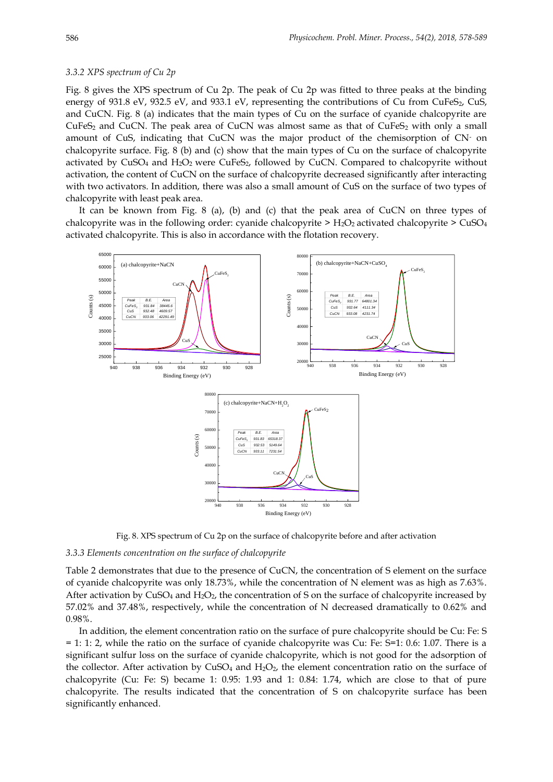# *3.3.2 XPS spectrum of Cu 2p*

Fig. 8 gives the XPS spectrum of Cu 2p. The peak of Cu 2p was fitted to three peaks at the binding energy of 931.8 eV, 932.5 eV, and 933.1 eV, representing the contributions of Cu from CuFeS<sub>2</sub>, CuS, and CuCN. Fig. 8 (a) indicates that the main types of Cu on the surface of cyanide chalcopyrite are  $CuFeS<sub>2</sub>$  and CuCN. The peak area of CuCN was almost same as that of CuFeS<sub>2</sub> with only a small amount of CuS, indicating that CuCN was the major product of the chemisorption of CN- on chalcopyrite surface. Fig. 8 (b) and (c) show that the main types of Cu on the surface of chalcopyrite activated by  $CuSO<sub>4</sub>$  and  $H<sub>2</sub>O<sub>2</sub>$  were CuFeS<sub>2</sub>, followed by CuCN. Compared to chalcopyrite without activation, the content of CuCN on the surface of chalcopyrite decreased significantly after interacting with two activators. In addition, there was also a small amount of CuS on the surface of two types of chalcopyrite with least peak area.

It can be known from Fig. 8 (a), (b) and (c) that the peak area of CuCN on three types of chalcopyrite was in the following order: cyanide chalcopyrite  $>$  H<sub>2</sub>O<sub>2</sub> activated chalcopyrite  $>$  CuSO<sub>4</sub> activated chalcopyrite. This is also in accordance with the flotation recovery.



Fig. 8. XPS spectrum of Cu 2p on the surface of chalcopyrite before and after activation

### *3.3.3 Elements concentration on the surface of chalcopyrite*

Table 2 demonstrates that due to the presence of CuCN, the concentration of S element on the surface of cyanide chalcopyrite was only 18.73%, while the concentration of N element was as high as 7.63%. After activation by  $CuSO_4$  and  $H_2O_2$ , the concentration of S on the surface of chalcopyrite increased by 57.02% and 37.48%, respectively, while the concentration of N decreased dramatically to 0.62% and 0.98%.

In addition, the element concentration ratio on the surface of pure chalcopyrite should be Cu: Fe: S = 1: 1: 2, while the ratio on the surface of cyanide chalcopyrite was Cu: Fe: S=1: 0.6: 1.07. There is a significant sulfur loss on the surface of cyanide chalcopyrite, which is not good for the adsorption of the collector. After activation by  $CuSO<sub>4</sub>$  and  $H<sub>2</sub>O<sub>2</sub>$ , the element concentration ratio on the surface of chalcopyrite (Cu: Fe: S) became 1: 0.95: 1.93 and 1: 0.84: 1.74, which are close to that of pure chalcopyrite. The results indicated that the concentration of S on chalcopyrite surface has been significantly enhanced.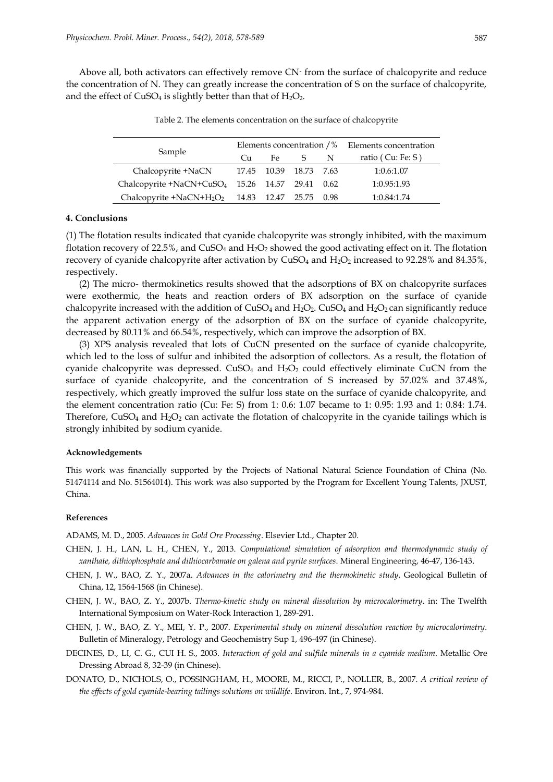Above all, both activators can effectively remove CN-from the surface of chalcopyrite and reduce the concentration of N. They can greatly increase the concentration of S on the surface of chalcopyrite, and the effect of  $CuSO<sub>4</sub>$  is slightly better than that of  $H<sub>2</sub>O<sub>2</sub>$ .

| Sample                                                      | Elements concentration $\frac{1}{8}$ Elements concentration |                        |              |   |                     |
|-------------------------------------------------------------|-------------------------------------------------------------|------------------------|--------------|---|---------------------|
|                                                             | $C_{11}$                                                    | Fe.                    | $^{\circ}$ S | N | ratio $(Cu: Fe: S)$ |
| Chalcopyrite +NaCN                                          |                                                             | 17.45 10.39 18.73 7.63 |              |   | 1:0.6:1.07          |
| Chalcopyrite +NaCN+CuSO <sub>4</sub> 15.26 14.57 29.41 0.62 |                                                             |                        |              |   | 1:0.95:1.93         |
| Chalcopyrite + NaCN + $H_2O_2$ 14.83 12.47 25.75 0.98       |                                                             |                        |              |   | 1:0.84:1.74         |

Table 2. The elements concentration on the surface of chalcopyrite

# **4. Conclusions**

(1) The flotation results indicated that cyanide chalcopyrite was strongly inhibited, with the maximum flotation recovery of 22.5%, and  $CuSO<sub>4</sub>$  and  $H<sub>2</sub>O<sub>2</sub>$  showed the good activating effect on it. The flotation recovery of cyanide chalcopyrite after activation by  $CuSO<sub>4</sub>$  and  $H<sub>2</sub>O<sub>2</sub>$  increased to 92.28% and 84.35%, respectively.

(2) The micro- thermokinetics results showed that the adsorptions of BX on chalcopyrite surfaces were exothermic, the heats and reaction orders of BX adsorption on the surface of cyanide chalcopyrite increased with the addition of  $CuSO_4$  and  $H_2O_2$ .  $CuSO_4$  and  $H_2O_2$  can significantly reduce the apparent activation energy of the adsorption of BX on the surface of cyanide chalcopyrite, decreased by 80.11% and 66.54%, respectively, which can improve the adsorption of BX.

(3) XPS analysis revealed that lots of CuCN presented on the surface of cyanide chalcopyrite, which led to the loss of sulfur and inhibited the adsorption of collectors. As a result, the flotation of cyanide chalcopyrite was depressed.  $CuSO<sub>4</sub>$  and  $H<sub>2</sub>O<sub>2</sub>$  could effectively eliminate CuCN from the surface of cyanide chalcopyrite, and the concentration of S increased by 57.02% and 37.48%, respectively, which greatly improved the sulfur loss state on the surface of cyanide chalcopyrite, and the element concentration ratio (Cu: Fe: S) from 1: 0.6: 1.07 became to 1: 0.95: 1.93 and 1: 0.84: 1.74. Therefore,  $CuSO<sub>4</sub>$  and  $H<sub>2</sub>O<sub>2</sub>$  can activate the flotation of chalcopyrite in the cyanide tailings which is strongly inhibited by sodium cyanide.

#### **Acknowledgements**

This work was financially supported by the Projects of National Natural Science Foundation of China (No. 51474114 and No. 51564014). This work was also supported by the Program for Excellent Young Talents, JXUST, China.

#### **References**

ADAMS, M. D., 2005. *Advances in Gold Ore Processing*. Elsevier Ltd., Chapter 20.

- CHEN, J. H., LAN, L. H., CHEN, Y., 2013. *Computational simulation of adsorption and thermodynamic study of xanthate, dithiophosphate and dithiocarbamate on galena and pyrite surfaces*. Mineral Engineering, 46-47, 136-143.
- CHEN, J. W., BAO, Z. Y., 2007a. *Advances in the calorimetry and the thermokinetic study*. Geological Bulletin of China, 12, 1564-1568 (in Chinese).
- CHEN, J. W., BAO, Z. Y., 2007b. *Thermo-kinetic study on mineral dissolution by microcalorimetry*. in: The Twelfth International Symposium on Water-Rock Interaction 1, 289-291.
- CHEN, J. W., BAO, Z. Y., MEI, Y. P., 2007. *Experimental study on mineral dissolution reaction by microcalorimetry*. Bulletin of Mineralogy, Petrology and Geochemistry Sup 1, 496-497 (in Chinese).
- DECINES, D., LI, C. G., CUI H. S., 2003. *Interaction of gold and sulfide minerals in a cyanide medium*. Metallic Ore Dressing Abroad 8, 32-39 (in Chinese).
- DONATO, D., NICHOLS, O., POSSINGHAM, H., MOORE, M., RICCI, P., NOLLER, B., 2007. *A critical review of the effects of gold cyanide-bearing tailings solutions on wildlife*. Environ. Int., 7, 974-984.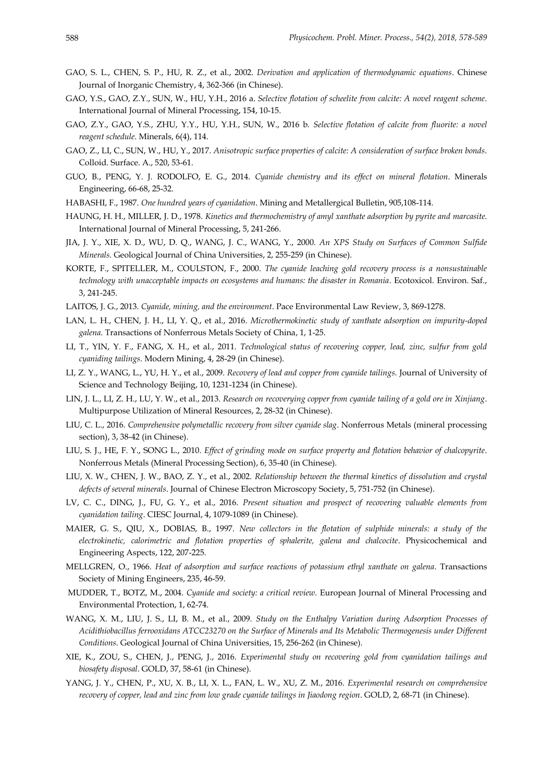- GAO, S. L., CHEN, S. P., HU, R. Z., et al., 2002. *Derivation and application of thermodynamic equations*. Chinese Journal of Inorganic Chemistry, 4, 362-366 (in Chinese).
- GAO, Y.S., GAO, Z.Y., SUN, W., HU, Y.H., 2016 a. *Selective flotation of scheelite from calcite: A novel reagent scheme*. International Journal of Mineral Processing, 154, 10-15.
- GAO, Z.Y., GAO, Y.S., ZHU, Y.Y., HU, Y.H., SUN, W., 2016 b. *Selective flotation of calcite from fluorite: a novel reagent schedule*. Minerals, 6(4), 114.
- GAO, Z., LI, C., SUN, W., HU, Y., 2017. *Anisotropic surface properties of calcite: A consideration of surface broken bonds*. Colloid. Surface. A., 520, 53-61.
- GUO, B., PENG, Y. J. RODOLFO, E. G., 2014. *Cyanide chemistry and its effect on mineral flotation*. Minerals Engineering, 66-68, 25-32.
- HABASHI, F., 1987. *One hundred years of cyanidation*. Mining and Metallergical Bulletin, 905,108-114.
- HAUNG, H. H., MILLER, J. D., 1978. *Kinetics and thermochemistry of amyl xanthate adsorption by pyrite and marcasite*. International Journal of Mineral Processing, 5, 241-266.
- JIA, J. Y., XIE, X. D., WU, D. Q., WANG, J. C., WANG, Y., 2000. *An XPS Study on Surfaces of Common Sulfide Minerals.* Geological Journal of China Universities, 2, 255-259 (in Chinese).
- KORTE, F., SPITELLER, M., COULSTON, F., 2000. *The cyanide leaching gold recovery process is a nonsustainable technology with unacceptable impacts on ecosystems and humans: the disaster in Romania*. Ecotoxicol. Environ. Saf., 3, 241-245.
- LAITOS, J. G., 2013. *Cyanide, mining, and the environment*. Pace Environmental Law Review, 3, 869-1278.
- LAN, L. H., CHEN, J. H., LI, Y. Q., et al., 2016. *Microthermokinetic study of xanthate adsorption on impurity-doped galena*. Transactions of Nonferrous Metals Society of China, 1, 1-25.
- LI, T., YIN, Y. F., FANG, X. H., et al., 2011. *Technological status of recovering copper, lead, zinc, sulfur from gold cyaniding tailings*. Modern Mining, 4, 28-29 (in Chinese).
- LI, Z. Y., WANG, L., YU, H. Y., et al., 2009. *Recovery of lead and copper from cyanide tailings*. Journal of University of Science and Technology Beijing, 10, 1231-1234 (in Chinese).
- LIN, J. L., LI, Z. H., LU, Y. W., et al., 2013. *Research on recoverying copper from cyanide tailing of a gold ore in Xinjiang*. Multipurpose Utilization of Mineral Resources, 2, 28-32 (in Chinese).
- LIU, C. L., 2016. *Comprehensive polymetallic recovery from silver cyanide slag*. Nonferrous Metals (mineral processing section), 3, 38-42 (in Chinese).
- LIU, S. J., HE, F. Y., SONG L., 2010. *Effect of grinding mode on surface property and flotation behavior of chalcopyrite*. Nonferrous Metals (Mineral Processing Section), 6, 35-40 (in Chinese).
- LIU, X. W., CHEN, J. W., BAO, Z. Y., et al., 2002. *Relationship between the thermal kinetics of dissolution and crystal defects of several minerals*. Journal of Chinese Electron Microscopy Society, 5, 751-752 (in Chinese).
- LV, C. C., DING, J., FU, G. Y., et al., 2016. *Present situation and prospect of recovering valuable elements from cyanidation tailing*. CIESC Journal, 4, 1079-1089 (in Chinese).
- MAIER, G. S., QIU, X., DOBIAS, B., 1997. *New collectors in the flotation of sulphide minerals: a study of the electrokinetic, calorimetric and flotation properties of sphalerite, galena and chalcocite*. Physicochemical and Engineering Aspects, 122, 207-225.
- MELLGREN, O., 1966. *Heat of adsorption and surface reactions of potassium ethyl xanthate on galena*. Transactions Society of Mining Engineers, 235, 46-59.
- MUDDER, T., BOTZ, M., 2004. *Cyanide and society: a critical review*. European Journal of Mineral Processing and Environmental Protection, 1, 62-74.
- WANG, X. M., LIU, J. S., LI, B. M., et al., 2009. *Study on the Enthalpy Variation during Adsorption Processes of Acidithiobacillus ferrooxidans ATCC23270 on the Surface of Minerals and Its Metabolic Thermogenesis under Different Conditions*. Geological Journal of China Universities, 15, 256-262 (in Chinese).
- XIE, K., ZOU, S., CHEN, J., PENG, J., 2016. *Experimental study on recovering gold from cyanidation tailings and biosafety disposal*. GOLD, 37, 58-61 (in Chinese).
- YANG, J. Y., CHEN, P., XU, X. B., LI, X. L., FAN, L. W., XU, Z. M., 2016. *Experimental research on comprehensive recovery of copper, lead and zinc from low grade cyanide tailings in Jiaodong region*. GOLD, 2, 68-71 (in Chinese).